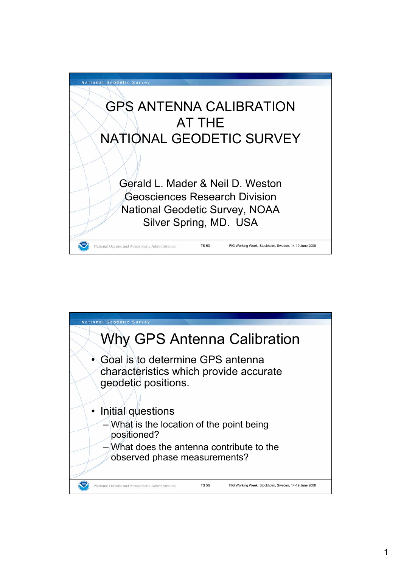

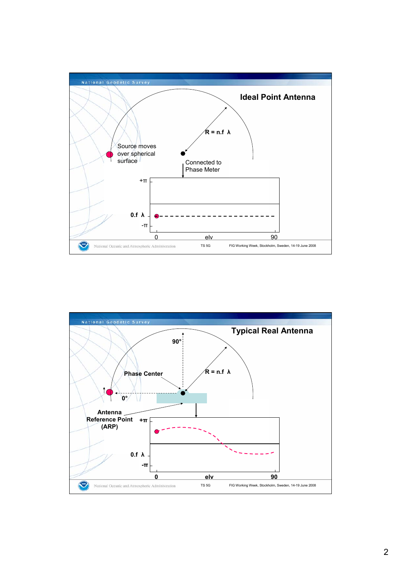

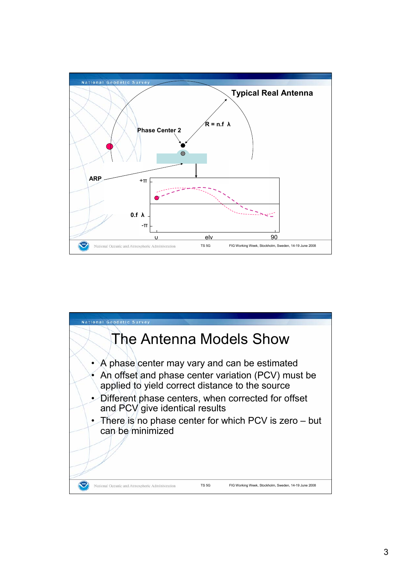

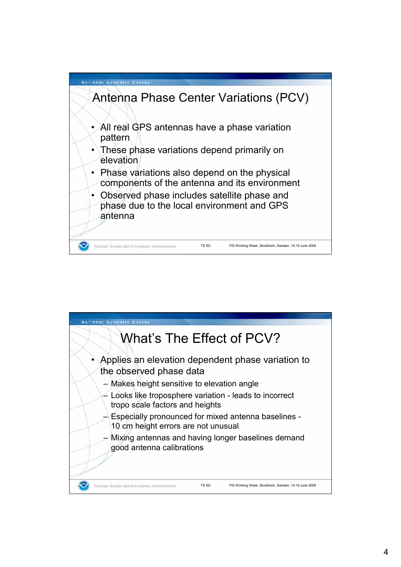

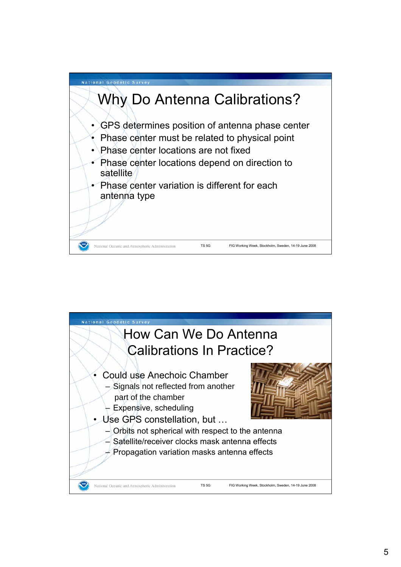

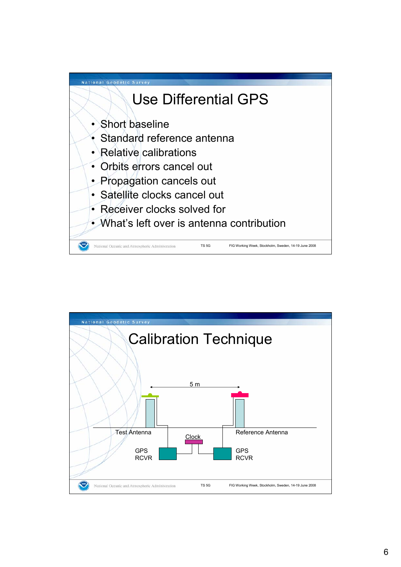

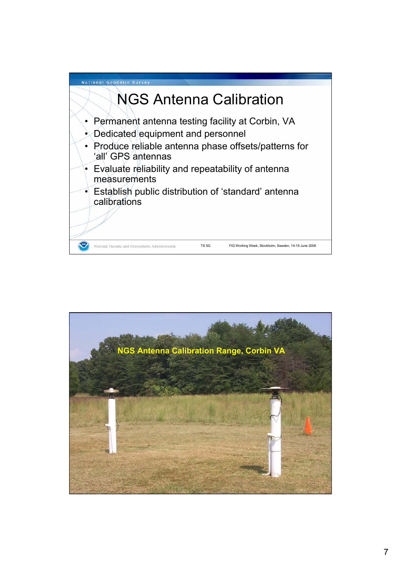

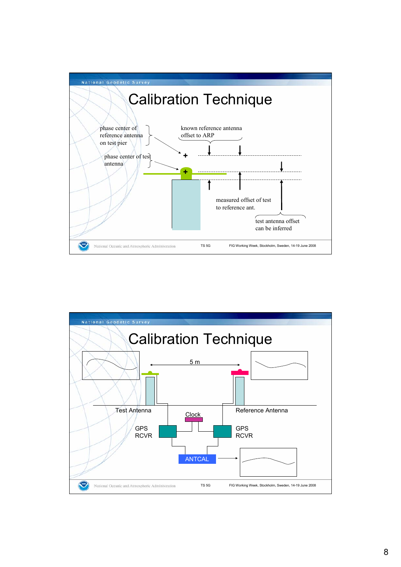

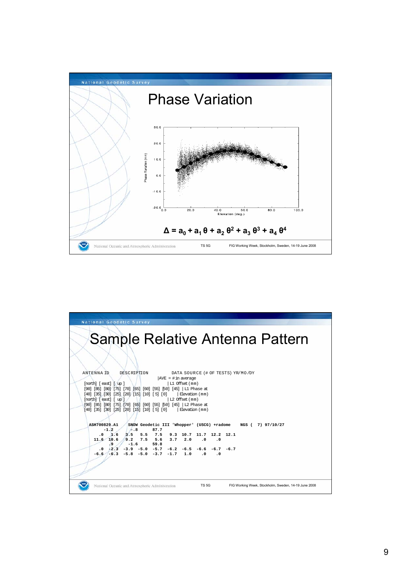

| <b>National Geodetic Survey</b>                                                                                                                                                                                                                                                       |                                                             |                                                              |
|---------------------------------------------------------------------------------------------------------------------------------------------------------------------------------------------------------------------------------------------------------------------------------------|-------------------------------------------------------------|--------------------------------------------------------------|
| <b>Sample Relative Antenna Pattern</b>                                                                                                                                                                                                                                                |                                                             |                                                              |
|                                                                                                                                                                                                                                                                                       |                                                             |                                                              |
| <b>ANTENNA ID</b><br>DESCRIPTION                                                                                                                                                                                                                                                      | DATA SOURCE (# OF TESTS) YR/MO/DY<br>$ AVE  = # in average$ |                                                              |
| $[north]$ $[ east]$ $[ up ]$<br>[90] [85] [80] [75] [70] [65] [60] [55] [50] [45]   L1 Phase at<br>$[40]$ $[35]$ $[30]$ $[25]$ $[20]$ $[15]$ $[10]$ $[5]$ $[0]$<br>$[{\rm north}]$ $[{\rm east}]$ $[{\rm up}]$ $/$<br>[90] [85] [80] [75] [70] [65] [60] [55] [50] [45]   L2 Phase at | L1 Offset (mm)<br>Elevation (mm)<br>L2 Offset (mm)          |                                                              |
| $[40]$ $[35]$ $[30]$ $[25]$ $[20]$ $[15]$ $[10]$ $[5]$ $[0]$                                                                                                                                                                                                                          | Elevation (mm)                                              |                                                              |
| ASH700829.A1                                                                                                                                                                                                                                                                          |                                                             | SNOW Geodetic III 'Whopper' (USCG) +radome NGS ( 7) 97/10/27 |
| $-1.2$<br>$\leftarrow$ .8<br>87.7<br>3.5                                                                                                                                                                                                                                              | 5.5 7.5 9.3 10.7 11.7 12.2 12.1                             |                                                              |
| $.0 \t1.6$<br>10.6<br>9.2<br>$7.5$ 5.6 3.7<br>11.6                                                                                                                                                                                                                                    | 2.0<br>$.0 \qquad .0$                                       |                                                              |
| و.<br>$-1.6$<br>59.8                                                                                                                                                                                                                                                                  |                                                             |                                                              |
| $-2.3$ $-3.9$ $-5.0$ $-5.7$ $-6.2$ $-6.5$ $-6.6$ $-6.7$ $-6.7$                                                                                                                                                                                                                        |                                                             |                                                              |
| $-6.6$ $-6.3$ $-5.8$ $-5.0$ $-3.7$ $-1.7$ 1.0 .0 .0                                                                                                                                                                                                                                   |                                                             |                                                              |
|                                                                                                                                                                                                                                                                                       |                                                             |                                                              |
|                                                                                                                                                                                                                                                                                       |                                                             |                                                              |
|                                                                                                                                                                                                                                                                                       |                                                             |                                                              |
| National Oceanic and Atmospheric Administration                                                                                                                                                                                                                                       | TS <sub>5G</sub>                                            | FIG Working Week, Stockholm, Sweden, 14-19 June 2008         |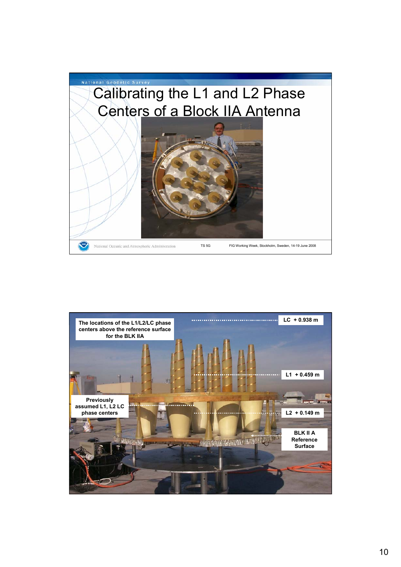